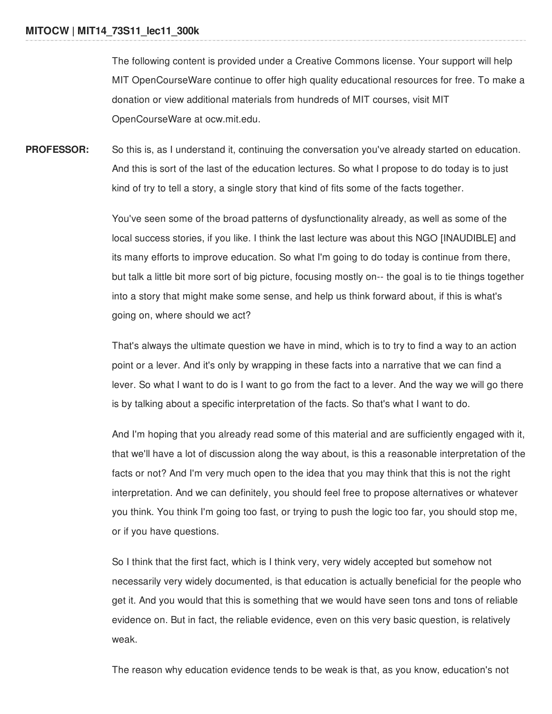The following content is provided under a Creative Commons license. Your support will help MIT OpenCourseWare continue to offer high quality educational resources for free. To make a donation or view additional materials from hundreds of MIT courses, visit MIT OpenCourseWare at ocw.mit.edu.

**PROFESSOR:** So this is, as I understand it, continuing the conversation you've already started on education. And this is sort of the last of the education lectures. So what I propose to do today is to just kind of try to tell a story, a single story that kind of fits some of the facts together.

> You've seen some of the broad patterns of dysfunctionality already, as well as some of the local success stories, if you like. I think the last lecture was about this NGO [INAUDIBLE] and its many efforts to improve education. So what I'm going to do today is continue from there, but talk a little bit more sort of big picture, focusing mostly on-- the goal is to tie things together into a story that might make some sense, and help us think forward about, if this is what's going on, where should we act?

> That's always the ultimate question we have in mind, which is to try to find a way to an action point or a lever. And it's only by wrapping in these facts into a narrative that we can find a lever. So what I want to do is I want to go from the fact to a lever. And the way we will go there is by talking about a specific interpretation of the facts. So that's what I want to do.

> And I'm hoping that you already read some of this material and are sufficiently engaged with it, that we'll have a lot of discussion along the way about, is this a reasonable interpretation of the facts or not? And I'm very much open to the idea that you may think that this is not the right interpretation. And we can definitely, you should feel free to propose alternatives or whatever you think. You think I'm going too fast, or trying to push the logic too far, you should stop me, or if you have questions.

So I think that the first fact, which is I think very, very widely accepted but somehow not necessarily very widely documented, is that education is actually beneficial for the people who get it. And you would that this is something that we would have seen tons and tons of reliable evidence on. But in fact, the reliable evidence, even on this very basic question, is relatively weak.

The reason why education evidence tends to be weak is that, as you know, education's not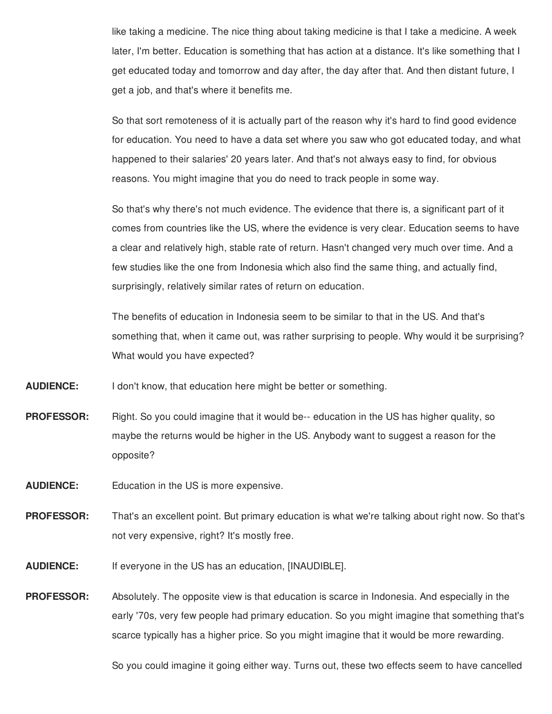like taking a medicine. The nice thing about taking medicine is that I take a medicine. A week later, I'm better. Education is something that has action at a distance. It's like something that I get educated today and tomorrow and day after, the day after that. And then distant future, I get a job, and that's where it benefits me.

So that sort remoteness of it is actually part of the reason why it's hard to find good evidence for education. You need to have a data set where you saw who got educated today, and what happened to their salaries' 20 years later. And that's not always easy to find, for obvious reasons. You might imagine that you do need to track people in some way.

So that's why there's not much evidence. The evidence that there is, a significant part of it comes from countries like the US, where the evidence is very clear. Education seems to have a clear and relatively high, stable rate of return. Hasn't changed very much over time. And a few studies like the one from Indonesia which also find the same thing, and actually find, surprisingly, relatively similar rates of return on education.

The benefits of education in Indonesia seem to be similar to that in the US. And that's something that, when it came out, was rather surprising to people. Why would it be surprising? What would you have expected?

**AUDIENCE:** I don't know, that education here might be better or something.

- **PROFESSOR:** Right. So you could imagine that it would be-- education in the US has higher quality, so maybe the returns would be higher in the US. Anybody want to suggest a reason for the opposite?
- **AUDIENCE:** Education in the US is more expensive.
- **PROFESSOR:** That's an excellent point. But primary education is what we're talking about right now. So that's not very expensive, right? It's mostly free.
- **AUDIENCE:** If everyone in the US has an education, [INAUDIBLE].
- **PROFESSOR:** Absolutely. The opposite view is that education is scarce in Indonesia. And especially in the early '70s, very few people had primary education. So you might imagine that something that's scarce typically has a higher price. So you might imagine that it would be more rewarding.

So you could imagine it going either way. Turns out, these two effects seem to have cancelled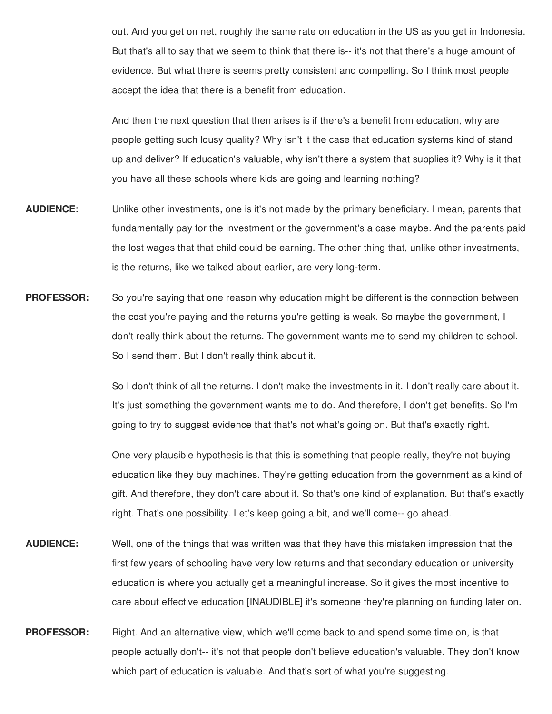out. And you get on net, roughly the same rate on education in the US as you get in Indonesia. But that's all to say that we seem to think that there is-- it's not that there's a huge amount of evidence. But what there is seems pretty consistent and compelling. So I think most people accept the idea that there is a benefit from education.

And then the next question that then arises is if there's a benefit from education, why are people getting such lousy quality? Why isn't it the case that education systems kind of stand up and deliver? If education's valuable, why isn't there a system that supplies it? Why is it that you have all these schools where kids are going and learning nothing?

- **AUDIENCE:** Unlike other investments, one is it's not made by the primary beneficiary. I mean, parents that fundamentally pay for the investment or the government's a case maybe. And the parents paid the lost wages that that child could be earning. The other thing that, unlike other investments, is the returns, like we talked about earlier, are very long-term.
- **PROFESSOR:** So you're saying that one reason why education might be different is the connection between the cost you're paying and the returns you're getting is weak. So maybe the government, I don't really think about the returns. The government wants me to send my children to school. So I send them. But I don't really think about it.

So I don't think of all the returns. I don't make the investments in it. I don't really care about it. It's just something the government wants me to do. And therefore, I don't get benefits. So I'm going to try to suggest evidence that that's not what's going on. But that's exactly right.

One very plausible hypothesis is that this is something that people really, they're not buying education like they buy machines. They're getting education from the government as a kind of gift. And therefore, they don't care about it. So that's one kind of explanation. But that's exactly right. That's one possibility. Let's keep going a bit, and we'll come-- go ahead.

- **AUDIENCE:** Well, one of the things that was written was that they have this mistaken impression that the first few years of schooling have very low returns and that secondary education or university education is where you actually get a meaningful increase. So it gives the most incentive to care about effective education [INAUDIBLE] it's someone they're planning on funding later on.
- **PROFESSOR:** Right. And an alternative view, which we'll come back to and spend some time on, is that people actually don't-- it's not that people don't believe education's valuable. They don't know which part of education is valuable. And that's sort of what you're suggesting.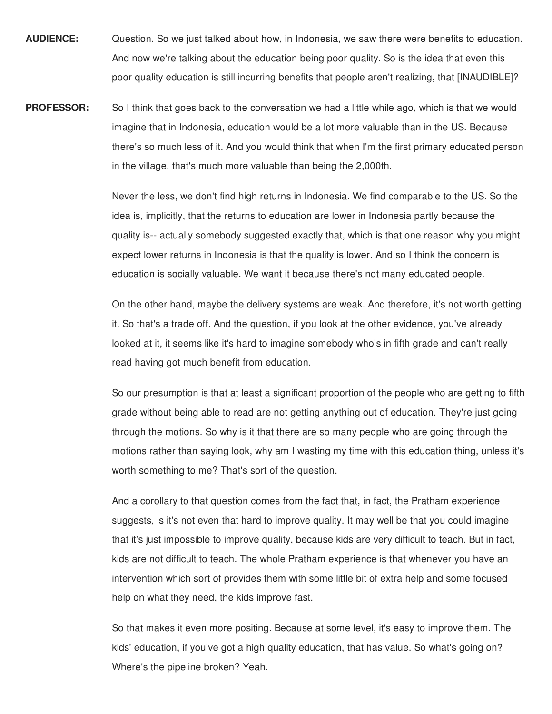- **AUDIENCE:** Question. So we just talked about how, in Indonesia, we saw there were benefits to education. And now we're talking about the education being poor quality. So is the idea that even this poor quality education is still incurring benefits that people aren't realizing, that [INAUDIBLE]?
- **PROFESSOR:** So I think that goes back to the conversation we had a little while ago, which is that we would imagine that in Indonesia, education would be a lot more valuable than in the US. Because there's so much less of it. And you would think that when I'm the first primary educated person in the village, that's much more valuable than being the 2,000th.

Never the less, we don't find high returns in Indonesia. We find comparable to the US. So the idea is, implicitly, that the returns to education are lower in Indonesia partly because the quality is-- actually somebody suggested exactly that, which is that one reason why you might expect lower returns in Indonesia is that the quality is lower. And so I think the concern is education is socially valuable. We want it because there's not many educated people.

On the other hand, maybe the delivery systems are weak. And therefore, it's not worth getting it. So that's a trade off. And the question, if you look at the other evidence, you've already looked at it, it seems like it's hard to imagine somebody who's in fifth grade and can't really read having got much benefit from education.

So our presumption is that at least a significant proportion of the people who are getting to fifth grade without being able to read are not getting anything out of education. They're just going through the motions. So why is it that there are so many people who are going through the motions rather than saying look, why am I wasting my time with this education thing, unless it's worth something to me? That's sort of the question.

And a corollary to that question comes from the fact that, in fact, the Pratham experience suggests, is it's not even that hard to improve quality. It may well be that you could imagine that it's just impossible to improve quality, because kids are very difficult to teach. But in fact, kids are not difficult to teach. The whole Pratham experience is that whenever you have an intervention which sort of provides them with some little bit of extra help and some focused help on what they need, the kids improve fast.

So that makes it even more positing. Because at some level, it's easy to improve them. The kids' education, if you've got a high quality education, that has value. So what's going on? Where's the pipeline broken? Yeah.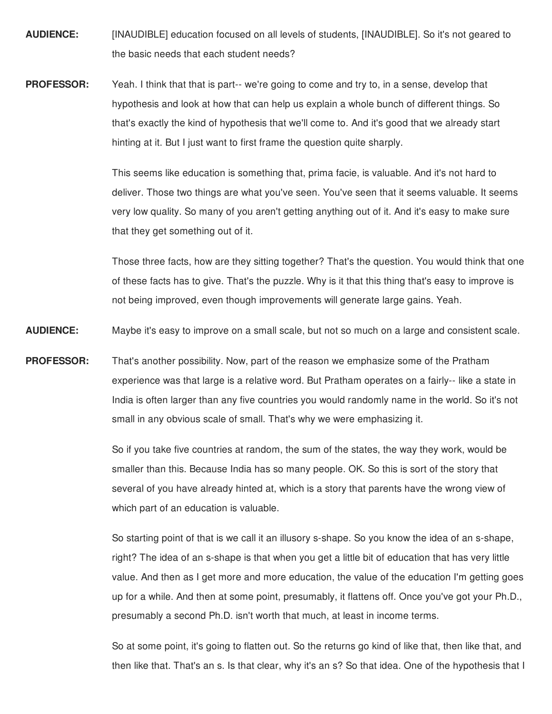- **AUDIENCE:** [INAUDIBLE] education focused on all levels of students, [INAUDIBLE]. So it's not geared to the basic needs that each student needs?
- **PROFESSOR:** Yeah. I think that that is part-- we're going to come and try to, in a sense, develop that hypothesis and look at how that can help us explain a whole bunch of different things. So that's exactly the kind of hypothesis that we'll come to. And it's good that we already start hinting at it. But I just want to first frame the question quite sharply.

This seems like education is something that, prima facie, is valuable. And it's not hard to deliver. Those two things are what you've seen. You've seen that it seems valuable. It seems very low quality. So many of you aren't getting anything out of it. And it's easy to make sure that they get something out of it.

Those three facts, how are they sitting together? That's the question. You would think that one of these facts has to give. That's the puzzle. Why is it that this thing that's easy to improve is not being improved, even though improvements will generate large gains. Yeah.

**AUDIENCE:** Maybe it's easy to improve on a small scale, but not so much on a large and consistent scale.

**PROFESSOR:** That's another possibility. Now, part of the reason we emphasize some of the Pratham experience was that large is a relative word. But Pratham operates on a fairly-- like a state in India is often larger than any five countries you would randomly name in the world. So it's not small in any obvious scale of small. That's why we were emphasizing it.

> So if you take five countries at random, the sum of the states, the way they work, would be smaller than this. Because India has so many people. OK. So this is sort of the story that several of you have already hinted at, which is a story that parents have the wrong view of which part of an education is valuable.

So starting point of that is we call it an illusory s-shape. So you know the idea of an s-shape, right? The idea of an s-shape is that when you get a little bit of education that has very little value. And then as I get more and more education, the value of the education I'm getting goes up for a while. And then at some point, presumably, it flattens off. Once you've got your Ph.D., presumably a second Ph.D. isn't worth that much, at least in income terms.

So at some point, it's going to flatten out. So the returns go kind of like that, then like that, and then like that. That's an s. Is that clear, why it's an s? So that idea. One of the hypothesis that I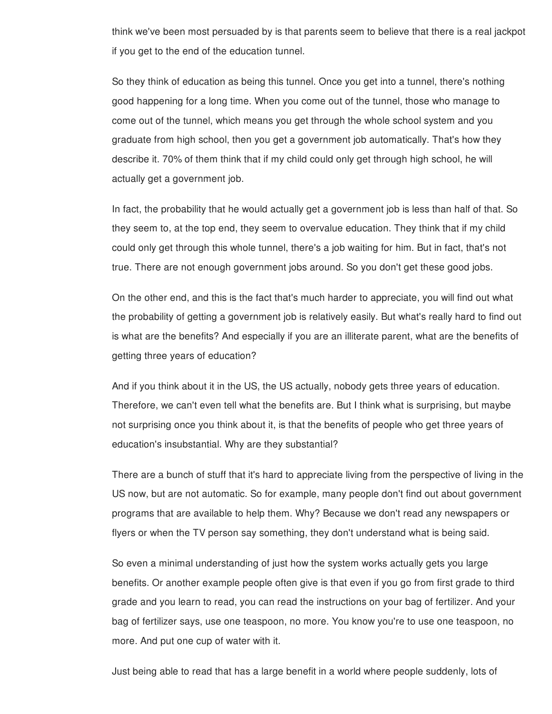think we've been most persuaded by is that parents seem to believe that there is a real jackpot if you get to the end of the education tunnel.

So they think of education as being this tunnel. Once you get into a tunnel, there's nothing good happening for a long time. When you come out of the tunnel, those who manage to come out of the tunnel, which means you get through the whole school system and you graduate from high school, then you get a government job automatically. That's how they describe it. 70% of them think that if my child could only get through high school, he will actually get a government job.

In fact, the probability that he would actually get a government job is less than half of that. So they seem to, at the top end, they seem to overvalue education. They think that if my child could only get through this whole tunnel, there's a job waiting for him. But in fact, that's not true. There are not enough government jobs around. So you don't get these good jobs.

On the other end, and this is the fact that's much harder to appreciate, you will find out what the probability of getting a government job is relatively easily. But what's really hard to find out is what are the benefits? And especially if you are an illiterate parent, what are the benefits of getting three years of education?

And if you think about it in the US, the US actually, nobody gets three years of education. Therefore, we can't even tell what the benefits are. But I think what is surprising, but maybe not surprising once you think about it, is that the benefits of people who get three years of education's insubstantial. Why are they substantial?

There are a bunch of stuff that it's hard to appreciate living from the perspective of living in the US now, but are not automatic. So for example, many people don't find out about government programs that are available to help them. Why? Because we don't read any newspapers or flyers or when the TV person say something, they don't understand what is being said.

So even a minimal understanding of just how the system works actually gets you large benefits. Or another example people often give is that even if you go from first grade to third grade and you learn to read, you can read the instructions on your bag of fertilizer. And your bag of fertilizer says, use one teaspoon, no more. You know you're to use one teaspoon, no more. And put one cup of water with it.

Just being able to read that has a large benefit in a world where people suddenly, lots of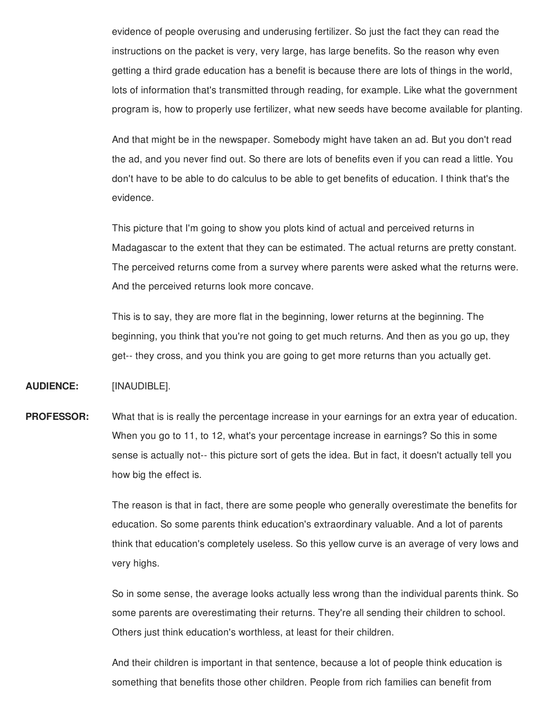evidence of people overusing and underusing fertilizer. So just the fact they can read the instructions on the packet is very, very large, has large benefits. So the reason why even getting a third grade education has a benefit is because there are lots of things in the world, lots of information that's transmitted through reading, for example. Like what the government program is, how to properly use fertilizer, what new seeds have become available for planting.

And that might be in the newspaper. Somebody might have taken an ad. But you don't read the ad, and you never find out. So there are lots of benefits even if you can read a little. You don't have to be able to do calculus to be able to get benefits of education. I think that's the evidence.

This picture that I'm going to show you plots kind of actual and perceived returns in Madagascar to the extent that they can be estimated. The actual returns are pretty constant. The perceived returns come from a survey where parents were asked what the returns were. And the perceived returns look more concave.

This is to say, they are more flat in the beginning, lower returns at the beginning. The beginning, you think that you're not going to get much returns. And then as you go up, they get-- they cross, and you think you are going to get more returns than you actually get.

**AUDIENCE:** [INAUDIBLE].

**PROFESSOR:** What that is is really the percentage increase in your earnings for an extra year of education. When you go to 11, to 12, what's your percentage increase in earnings? So this in some sense is actually not-- this picture sort of gets the idea. But in fact, it doesn't actually tell you how big the effect is.

> The reason is that in fact, there are some people who generally overestimate the benefits for education. So some parents think education's extraordinary valuable. And a lot of parents think that education's completely useless. So this yellow curve is an average of very lows and very highs.

> So in some sense, the average looks actually less wrong than the individual parents think. So some parents are overestimating their returns. They're all sending their children to school. Others just think education's worthless, at least for their children.

And their children is important in that sentence, because a lot of people think education is something that benefits those other children. People from rich families can benefit from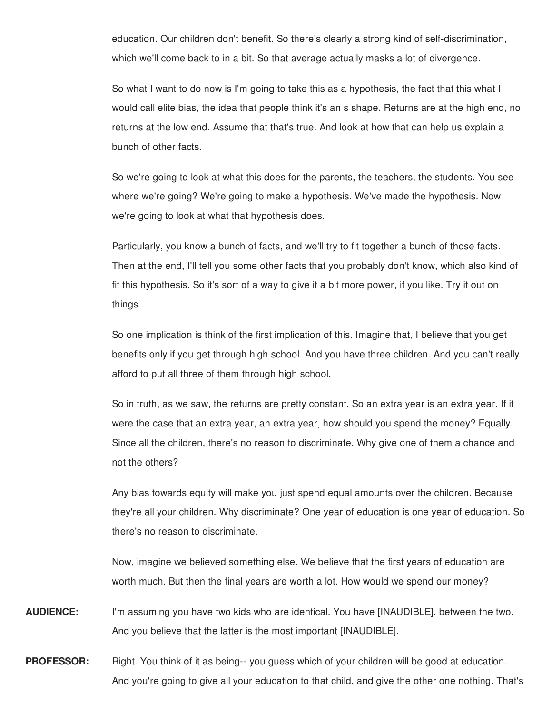education. Our children don't benefit. So there's clearly a strong kind of self-discrimination, which we'll come back to in a bit. So that average actually masks a lot of divergence.

So what I want to do now is I'm going to take this as a hypothesis, the fact that this what I would call elite bias, the idea that people think it's an s shape. Returns are at the high end, no returns at the low end. Assume that that's true. And look at how that can help us explain a bunch of other facts.

So we're going to look at what this does for the parents, the teachers, the students. You see where we're going? We're going to make a hypothesis. We've made the hypothesis. Now we're going to look at what that hypothesis does.

Particularly, you know a bunch of facts, and we'll try to fit together a bunch of those facts. Then at the end, I'll tell you some other facts that you probably don't know, which also kind of fit this hypothesis. So it's sort of a way to give it a bit more power, if you like. Try it out on things.

So one implication is think of the first implication of this. Imagine that, I believe that you get benefits only if you get through high school. And you have three children. And you can't really afford to put all three of them through high school.

So in truth, as we saw, the returns are pretty constant. So an extra year is an extra year. If it were the case that an extra year, an extra year, how should you spend the money? Equally. Since all the children, there's no reason to discriminate. Why give one of them a chance and not the others?

Any bias towards equity will make you just spend equal amounts over the children. Because they're all your children. Why discriminate? One year of education is one year of education. So there's no reason to discriminate.

Now, imagine we believed something else. We believe that the first years of education are worth much. But then the final years are worth a lot. How would we spend our money?

- **AUDIENCE:** I'm assuming you have two kids who are identical. You have [INAUDIBLE]. between the two. And you believe that the latter is the most important [INAUDIBLE].
- **PROFESSOR:** Right. You think of it as being-- you quess which of your children will be good at education. And you're going to give all your education to that child, and give the other one nothing. That's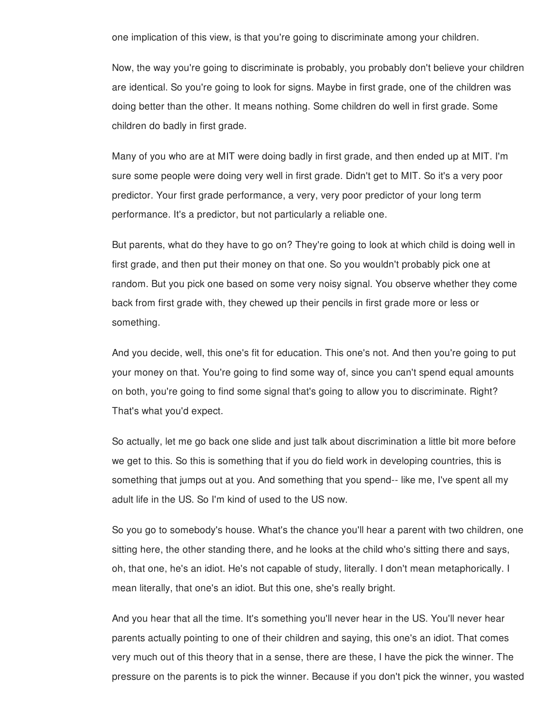one implication of this view, is that you're going to discriminate among your children.

Now, the way you're going to discriminate is probably, you probably don't believe your children are identical. So you're going to look for signs. Maybe in first grade, one of the children was doing better than the other. It means nothing. Some children do well in first grade. Some children do badly in first grade.

Many of you who are at MIT were doing badly in first grade, and then ended up at MIT. I'm sure some people were doing very well in first grade. Didn't get to MIT. So it's a very poor predictor. Your first grade performance, a very, very poor predictor of your long term performance. It's a predictor, but not particularly a reliable one.

But parents, what do they have to go on? They're going to look at which child is doing well in first grade, and then put their money on that one. So you wouldn't probably pick one at random. But you pick one based on some very noisy signal. You observe whether they come back from first grade with, they chewed up their pencils in first grade more or less or something.

And you decide, well, this one's fit for education. This one's not. And then you're going to put your money on that. You're going to find some way of, since you can't spend equal amounts on both, you're going to find some signal that's going to allow you to discriminate. Right? That's what you'd expect.

So actually, let me go back one slide and just talk about discrimination a little bit more before we get to this. So this is something that if you do field work in developing countries, this is something that jumps out at you. And something that you spend-- like me, I've spent all my adult life in the US. So I'm kind of used to the US now.

So you go to somebody's house. What's the chance you'll hear a parent with two children, one sitting here, the other standing there, and he looks at the child who's sitting there and says, oh, that one, he's an idiot. He's not capable of study, literally. I don't mean metaphorically. I mean literally, that one's an idiot. But this one, she's really bright.

And you hear that all the time. It's something you'll never hear in the US. You'll never hear parents actually pointing to one of their children and saying, this one's an idiot. That comes very much out of this theory that in a sense, there are these, I have the pick the winner. The pressure on the parents is to pick the winner. Because if you don't pick the winner, you wasted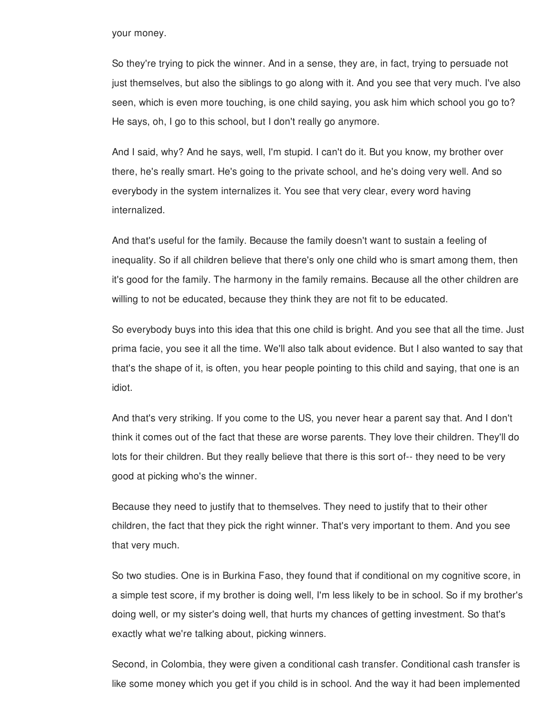your money.

So they're trying to pick the winner. And in a sense, they are, in fact, trying to persuade not just themselves, but also the siblings to go along with it. And you see that very much. I've also seen, which is even more touching, is one child saying, you ask him which school you go to? He says, oh, I go to this school, but I don't really go anymore.

And I said, why? And he says, well, I'm stupid. I can't do it. But you know, my brother over there, he's really smart. He's going to the private school, and he's doing very well. And so everybody in the system internalizes it. You see that very clear, every word having internalized.

And that's useful for the family. Because the family doesn't want to sustain a feeling of inequality. So if all children believe that there's only one child who is smart among them, then it's good for the family. The harmony in the family remains. Because all the other children are willing to not be educated, because they think they are not fit to be educated.

So everybody buys into this idea that this one child is bright. And you see that all the time. Just prima facie, you see it all the time. We'll also talk about evidence. But I also wanted to say that that's the shape of it, is often, you hear people pointing to this child and saying, that one is an idiot.

And that's very striking. If you come to the US, you never hear a parent say that. And I don't think it comes out of the fact that these are worse parents. They love their children. They'll do lots for their children. But they really believe that there is this sort of-- they need to be very good at picking who's the winner.

Because they need to justify that to themselves. They need to justify that to their other children, the fact that they pick the right winner. That's very important to them. And you see that very much.

So two studies. One is in Burkina Faso, they found that if conditional on my cognitive score, in a simple test score, if my brother is doing well, I'm less likely to be in school. So if my brother's doing well, or my sister's doing well, that hurts my chances of getting investment. So that's exactly what we're talking about, picking winners.

Second, in Colombia, they were given a conditional cash transfer. Conditional cash transfer is like some money which you get if you child is in school. And the way it had been implemented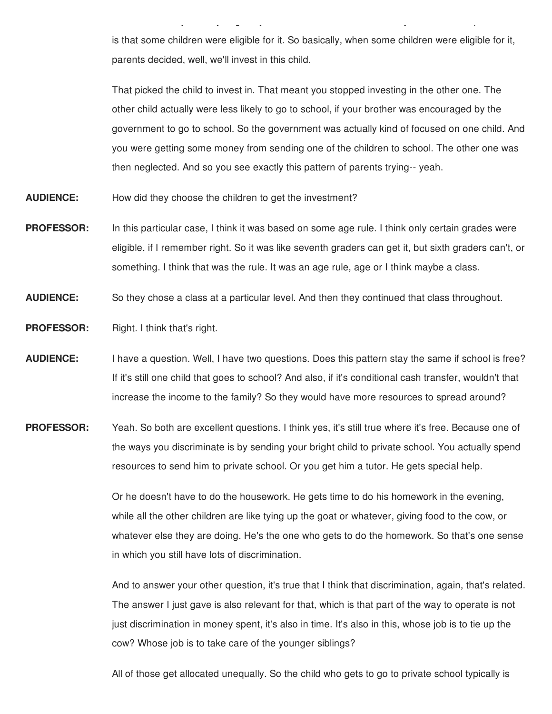is that some children were eligible for it. So basically, when some children were eligible for it, parents decided, well, we'll invest in this child.

like some money which you get if you child is in school. And the way it had been implemented

That picked the child to invest in. That meant you stopped investing in the other one. The other child actually were less likely to go to school, if your brother was encouraged by the government to go to school. So the government was actually kind of focused on one child. And you were getting some money from sending one of the children to school. The other one was then neglected. And so you see exactly this pattern of parents trying-- yeah.

- **AUDIENCE:** How did they choose the children to get the investment?
- **PROFESSOR:** In this particular case, I think it was based on some age rule. I think only certain grades were eligible, if I remember right. So it was like seventh graders can get it, but sixth graders can't, or something. I think that was the rule. It was an age rule, age or I think maybe a class.
- **AUDIENCE:** So they chose a class at a particular level. And then they continued that class throughout.
- **PROFESSOR:** Right. I think that's right.
- **AUDIENCE:** I have a question. Well, I have two questions. Does this pattern stay the same if school is free? If it's still one child that goes to school? And also, if it's conditional cash transfer, wouldn't that increase the income to the family? So they would have more resources to spread around?
- **PROFESSOR:** Yeah. So both are excellent questions. I think yes, it's still true where it's free. Because one of the ways you discriminate is by sending your bright child to private school. You actually spend resources to send him to private school. Or you get him a tutor. He gets special help.

Or he doesn't have to do the housework. He gets time to do his homework in the evening, while all the other children are like tying up the goat or whatever, giving food to the cow, or whatever else they are doing. He's the one who gets to do the homework. So that's one sense in which you still have lots of discrimination.

And to answer your other question, it's true that I think that discrimination, again, that's related. The answer I just gave is also relevant for that, which is that part of the way to operate is not just discrimination in money spent, it's also in time. It's also in this, whose job is to tie up the cow? Whose job is to take care of the younger siblings?

All of those get allocated unequally. So the child who gets to go to private school typically is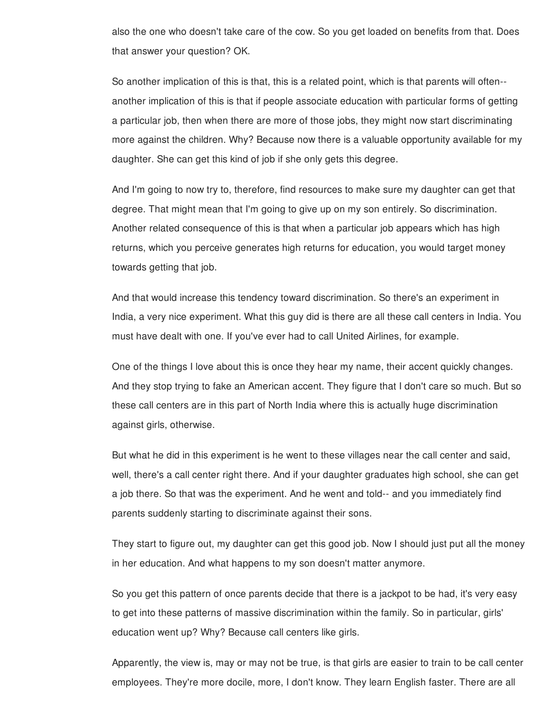also the one who doesn't take care of the cow. So you get loaded on benefits from that. Does that answer your question? OK.

So another implication of this is that, this is a related point, which is that parents will often- another implication of this is that if people associate education with particular forms of getting a particular job, then when there are more of those jobs, they might now start discriminating more against the children. Why? Because now there is a valuable opportunity available for my daughter. She can get this kind of job if she only gets this degree.

And I'm going to now try to, therefore, find resources to make sure my daughter can get that degree. That might mean that I'm going to give up on my son entirely. So discrimination. Another related consequence of this is that when a particular job appears which has high returns, which you perceive generates high returns for education, you would target money towards getting that job.

And that would increase this tendency toward discrimination. So there's an experiment in India, a very nice experiment. What this guy did is there are all these call centers in India. You must have dealt with one. If you've ever had to call United Airlines, for example.

One of the things I love about this is once they hear my name, their accent quickly changes. And they stop trying to fake an American accent. They figure that I don't care so much. But so these call centers are in this part of North India where this is actually huge discrimination against girls, otherwise.

But what he did in this experiment is he went to these villages near the call center and said, well, there's a call center right there. And if your daughter graduates high school, she can get a job there. So that was the experiment. And he went and told-- and you immediately find parents suddenly starting to discriminate against their sons.

They start to figure out, my daughter can get this good job. Now I should just put all the money in her education. And what happens to my son doesn't matter anymore.

So you get this pattern of once parents decide that there is a jackpot to be had, it's very easy to get into these patterns of massive discrimination within the family. So in particular, girls' education went up? Why? Because call centers like girls.

Apparently, the view is, may or may not be true, is that girls are easier to train to be call center employees. They're more docile, more, I don't know. They learn English faster. There are all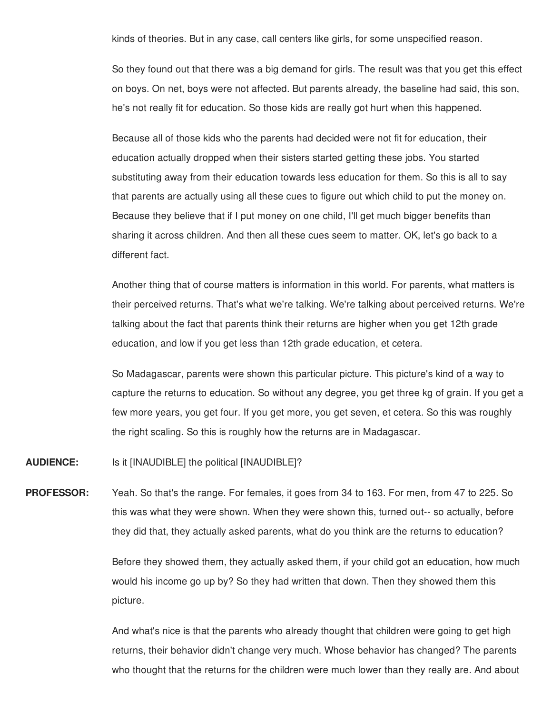kinds of theories. But in any case, call centers like girls, for some unspecified reason.

So they found out that there was a big demand for girls. The result was that you get this effect on boys. On net, boys were not affected. But parents already, the baseline had said, this son, he's not really fit for education. So those kids are really got hurt when this happened.

Because all of those kids who the parents had decided were not fit for education, their education actually dropped when their sisters started getting these jobs. You started substituting away from their education towards less education for them. So this is all to say that parents are actually using all these cues to figure out which child to put the money on. Because they believe that if I put money on one child, I'll get much bigger benefits than sharing it across children. And then all these cues seem to matter. OK, let's go back to a different fact.

Another thing that of course matters is information in this world. For parents, what matters is their perceived returns. That's what we're talking. We're talking about perceived returns. We're talking about the fact that parents think their returns are higher when you get 12th grade education, and low if you get less than 12th grade education, et cetera.

So Madagascar, parents were shown this particular picture. This picture's kind of a way to capture the returns to education. So without any degree, you get three kg of grain. If you get a few more years, you get four. If you get more, you get seven, et cetera. So this was roughly the right scaling. So this is roughly how the returns are in Madagascar.

**AUDIENCE:** Is it [INAUDIBLE] the political [INAUDIBLE]?

**PROFESSOR:** Yeah. So that's the range. For females, it goes from 34 to 163. For men, from 47 to 225. So this was what they were shown. When they were shown this, turned out-- so actually, before they did that, they actually asked parents, what do you think are the returns to education?

> Before they showed them, they actually asked them, if your child got an education, how much would his income go up by? So they had written that down. Then they showed them this picture.

> And what's nice is that the parents who already thought that children were going to get high returns, their behavior didn't change very much. Whose behavior has changed? The parents who thought that the returns for the children were much lower than they really are. And about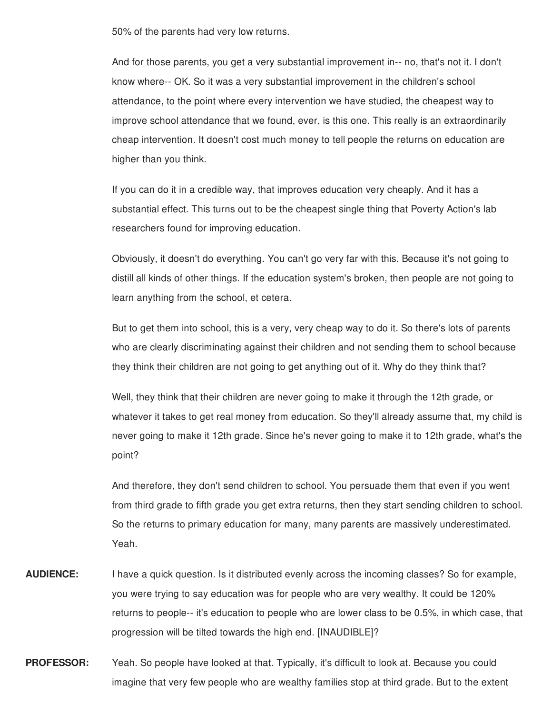50% of the parents had very low returns.

And for those parents, you get a very substantial improvement in-- no, that's not it. I don't know where-- OK. So it was a very substantial improvement in the children's school attendance, to the point where every intervention we have studied, the cheapest way to improve school attendance that we found, ever, is this one. This really is an extraordinarily cheap intervention. It doesn't cost much money to tell people the returns on education are higher than you think.

If you can do it in a credible way, that improves education very cheaply. And it has a substantial effect. This turns out to be the cheapest single thing that Poverty Action's lab researchers found for improving education.

Obviously, it doesn't do everything. You can't go very far with this. Because it's not going to distill all kinds of other things. If the education system's broken, then people are not going to learn anything from the school, et cetera.

But to get them into school, this is a very, very cheap way to do it. So there's lots of parents who are clearly discriminating against their children and not sending them to school because they think their children are not going to get anything out of it. Why do they think that?

Well, they think that their children are never going to make it through the 12th grade, or whatever it takes to get real money from education. So they'll already assume that, my child is never going to make it 12th grade. Since he's never going to make it to 12th grade, what's the point?

And therefore, they don't send children to school. You persuade them that even if you went from third grade to fifth grade you get extra returns, then they start sending children to school. So the returns to primary education for many, many parents are massively underestimated. Yeah.

- **AUDIENCE:** I have a quick question. Is it distributed evenly across the incoming classes? So for example, you were trying to say education was for people who are very wealthy. It could be 120% returns to people-- it's education to people who are lower class to be 0.5%, in which case, that progression will be tilted towards the high end. [INAUDIBLE]?
- **PROFESSOR:** Yeah. So people have looked at that. Typically, it's difficult to look at. Because you could imagine that very few people who are wealthy families stop at third grade. But to the extent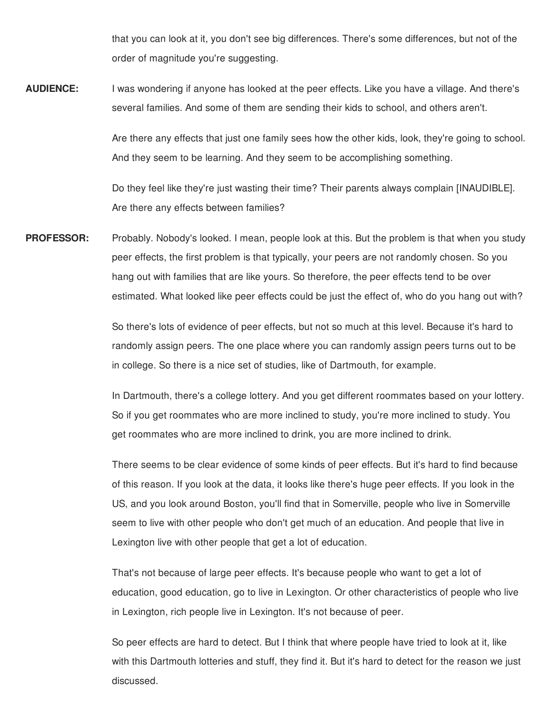that you can look at it, you don't see big differences. There's some differences, but not of the order of magnitude you're suggesting.

**AUDIENCE:** I was wondering if anyone has looked at the peer effects. Like you have a village. And there's several families. And some of them are sending their kids to school, and others aren't.

> Are there any effects that just one family sees how the other kids, look, they're going to school. And they seem to be learning. And they seem to be accomplishing something.

Do they feel like they're just wasting their time? Their parents always complain [INAUDIBLE]. Are there any effects between families?

**PROFESSOR:** Probably. Nobody's looked. I mean, people look at this. But the problem is that when you study peer effects, the first problem is that typically, your peers are not randomly chosen. So you hang out with families that are like yours. So therefore, the peer effects tend to be over estimated. What looked like peer effects could be just the effect of, who do you hang out with?

> So there's lots of evidence of peer effects, but not so much at this level. Because it's hard to randomly assign peers. The one place where you can randomly assign peers turns out to be in college. So there is a nice set of studies, like of Dartmouth, for example.

In Dartmouth, there's a college lottery. And you get different roommates based on your lottery. So if you get roommates who are more inclined to study, you're more inclined to study. You get roommates who are more inclined to drink, you are more inclined to drink.

There seems to be clear evidence of some kinds of peer effects. But it's hard to find because of this reason. If you look at the data, it looks like there's huge peer effects. If you look in the US, and you look around Boston, you'll find that in Somerville, people who live in Somerville seem to live with other people who don't get much of an education. And people that live in Lexington live with other people that get a lot of education.

That's not because of large peer effects. It's because people who want to get a lot of education, good education, go to live in Lexington. Or other characteristics of people who live in Lexington, rich people live in Lexington. It's not because of peer.

So peer effects are hard to detect. But I think that where people have tried to look at it, like with this Dartmouth lotteries and stuff, they find it. But it's hard to detect for the reason we just discussed.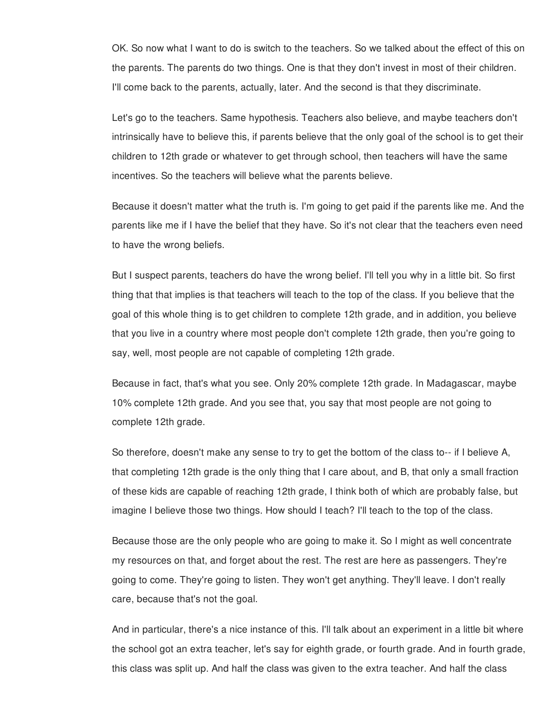OK. So now what I want to do is switch to the teachers. So we talked about the effect of this on the parents. The parents do two things. One is that they don't invest in most of their children. I'll come back to the parents, actually, later. And the second is that they discriminate.

Let's go to the teachers. Same hypothesis. Teachers also believe, and maybe teachers don't intrinsically have to believe this, if parents believe that the only goal of the school is to get their children to 12th grade or whatever to get through school, then teachers will have the same incentives. So the teachers will believe what the parents believe.

Because it doesn't matter what the truth is. I'm going to get paid if the parents like me. And the parents like me if I have the belief that they have. So it's not clear that the teachers even need to have the wrong beliefs.

But I suspect parents, teachers do have the wrong belief. I'll tell you why in a little bit. So first thing that that implies is that teachers will teach to the top of the class. If you believe that the goal of this whole thing is to get children to complete 12th grade, and in addition, you believe that you live in a country where most people don't complete 12th grade, then you're going to say, well, most people are not capable of completing 12th grade.

Because in fact, that's what you see. Only 20% complete 12th grade. In Madagascar, maybe 10% complete 12th grade. And you see that, you say that most people are not going to complete 12th grade.

So therefore, doesn't make any sense to try to get the bottom of the class to-- if I believe A, that completing 12th grade is the only thing that I care about, and B, that only a small fraction of these kids are capable of reaching 12th grade, I think both of which are probably false, but imagine I believe those two things. How should I teach? I'll teach to the top of the class.

Because those are the only people who are going to make it. So I might as well concentrate my resources on that, and forget about the rest. The rest are here as passengers. They're going to come. They're going to listen. They won't get anything. They'll leave. I don't really care, because that's not the goal.

And in particular, there's a nice instance of this. I'll talk about an experiment in a little bit where the school got an extra teacher, let's say for eighth grade, or fourth grade. And in fourth grade, this class was split up. And half the class was given to the extra teacher. And half the class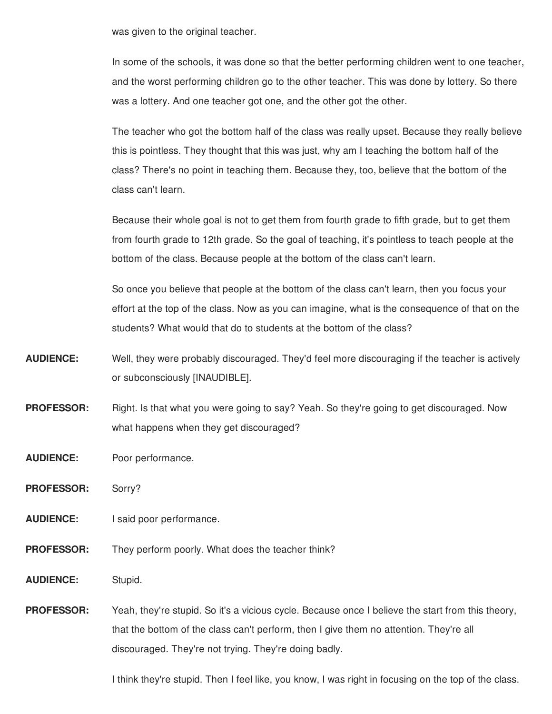was given to the original teacher.

In some of the schools, it was done so that the better performing children went to one teacher, and the worst performing children go to the other teacher. This was done by lottery. So there was a lottery. And one teacher got one, and the other got the other.

The teacher who got the bottom half of the class was really upset. Because they really believe this is pointless. They thought that this was just, why am I teaching the bottom half of the class? There's no point in teaching them. Because they, too, believe that the bottom of the class can't learn.

Because their whole goal is not to get them from fourth grade to fifth grade, but to get them from fourth grade to 12th grade. So the goal of teaching, it's pointless to teach people at the bottom of the class. Because people at the bottom of the class can't learn.

So once you believe that people at the bottom of the class can't learn, then you focus your effort at the top of the class. Now as you can imagine, what is the consequence of that on the students? What would that do to students at the bottom of the class?

- **AUDIENCE:** Well, they were probably discouraged. They'd feel more discouraging if the teacher is actively or subconsciously [INAUDIBLE].
- **PROFESSOR:** Right. Is that what you were going to say? Yeah. So they're going to get discouraged. Now what happens when they get discouraged?
- **AUDIENCE:** Poor performance.
- **PROFESSOR:** Sorry?
- **AUDIENCE:** I said poor performance.
- **PROFESSOR:** They perform poorly. What does the teacher think?
- **AUDIENCE:** Stupid.

**PROFESSOR:** Yeah, they're stupid. So it's a vicious cycle. Because once I believe the start from this theory, that the bottom of the class can't perform, then I give them no attention. They're all discouraged. They're not trying. They're doing badly.

I think they're stupid. Then I feel like, you know, I was right in focusing on the top of the class.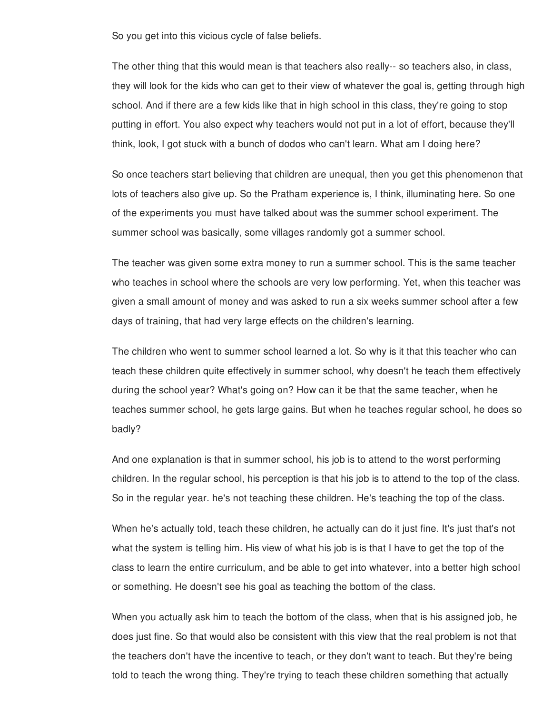So you get into this vicious cycle of false beliefs.

The other thing that this would mean is that teachers also really-- so teachers also, in class, they will look for the kids who can get to their view of whatever the goal is, getting through high school. And if there are a few kids like that in high school in this class, they're going to stop putting in effort. You also expect why teachers would not put in a lot of effort, because they'll think, look, I got stuck with a bunch of dodos who can't learn. What am I doing here?

So once teachers start believing that children are unequal, then you get this phenomenon that lots of teachers also give up. So the Pratham experience is, I think, illuminating here. So one of the experiments you must have talked about was the summer school experiment. The summer school was basically, some villages randomly got a summer school.

The teacher was given some extra money to run a summer school. This is the same teacher who teaches in school where the schools are very low performing. Yet, when this teacher was given a small amount of money and was asked to run a six weeks summer school after a few days of training, that had very large effects on the children's learning.

The children who went to summer school learned a lot. So why is it that this teacher who can teach these children quite effectively in summer school, why doesn't he teach them effectively during the school year? What's going on? How can it be that the same teacher, when he teaches summer school, he gets large gains. But when he teaches regular school, he does so badly?

And one explanation is that in summer school, his job is to attend to the worst performing children. In the regular school, his perception is that his job is to attend to the top of the class. So in the regular year. he's not teaching these children. He's teaching the top of the class.

When he's actually told, teach these children, he actually can do it just fine. It's just that's not what the system is telling him. His view of what his job is is that I have to get the top of the class to learn the entire curriculum, and be able to get into whatever, into a better high school or something. He doesn't see his goal as teaching the bottom of the class.

When you actually ask him to teach the bottom of the class, when that is his assigned job, he does just fine. So that would also be consistent with this view that the real problem is not that the teachers don't have the incentive to teach, or they don't want to teach. But they're being told to teach the wrong thing. They're trying to teach these children something that actually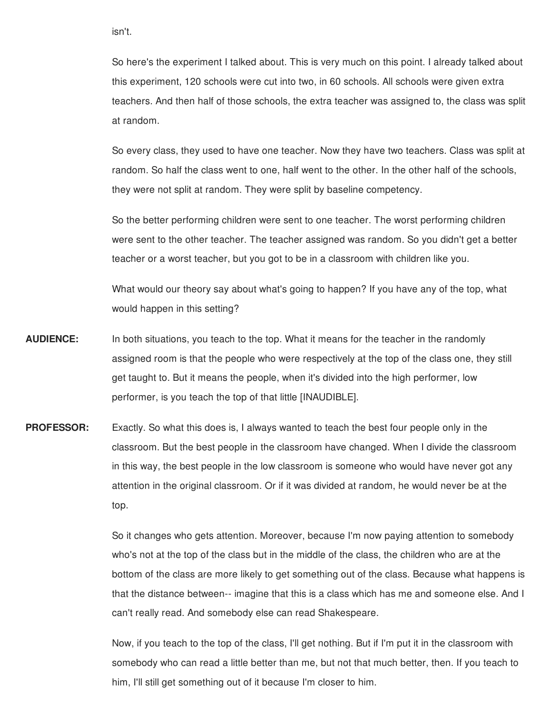isn't.

So here's the experiment I talked about. This is very much on this point. I already talked about this experiment, 120 schools were cut into two, in 60 schools. All schools were given extra teachers. And then half of those schools, the extra teacher was assigned to, the class was split at random.

So every class, they used to have one teacher. Now they have two teachers. Class was split at random. So half the class went to one, half went to the other. In the other half of the schools, they were not split at random. They were split by baseline competency.

So the better performing children were sent to one teacher. The worst performing children were sent to the other teacher. The teacher assigned was random. So you didn't get a better teacher or a worst teacher, but you got to be in a classroom with children like you.

What would our theory say about what's going to happen? If you have any of the top, what would happen in this setting?

- **AUDIENCE:** In both situations, you teach to the top. What it means for the teacher in the randomly assigned room is that the people who were respectively at the top of the class one, they still get taught to. But it means the people, when it's divided into the high performer, low performer, is you teach the top of that little [INAUDIBLE].
- **PROFESSOR:** Exactly. So what this does is, I always wanted to teach the best four people only in the classroom. But the best people in the classroom have changed. When I divide the classroom in this way, the best people in the low classroom is someone who would have never got any attention in the original classroom. Or if it was divided at random, he would never be at the top.

So it changes who gets attention. Moreover, because I'm now paying attention to somebody who's not at the top of the class but in the middle of the class, the children who are at the bottom of the class are more likely to get something out of the class. Because what happens is that the distance between-- imagine that this is a class which has me and someone else. And I can't really read. And somebody else can read Shakespeare.

Now, if you teach to the top of the class, I'll get nothing. But if I'm put it in the classroom with somebody who can read a little better than me, but not that much better, then. If you teach to him, I'll still get something out of it because I'm closer to him.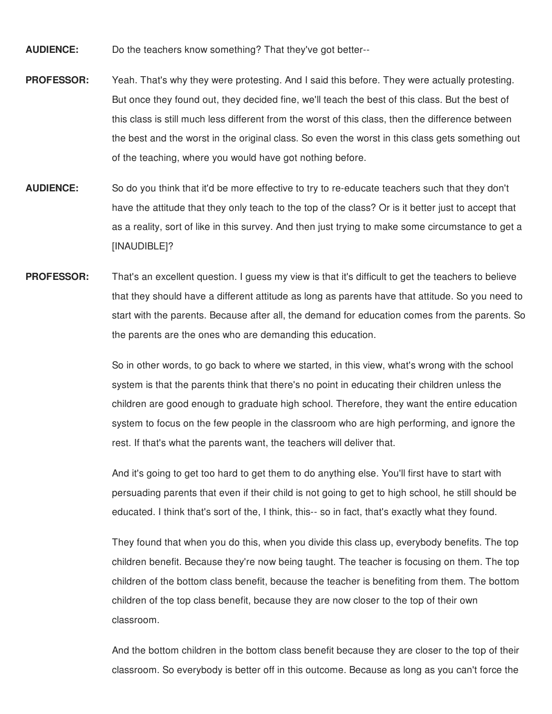**AUDIENCE:** Do the teachers know something? That they've got better--

- **PROFESSOR:** Yeah. That's why they were protesting. And I said this before. They were actually protesting. But once they found out, they decided fine, we'll teach the best of this class. But the best of this class is still much less different from the worst of this class, then the difference between the best and the worst in the original class. So even the worst in this class gets something out of the teaching, where you would have got nothing before.
- **AUDIENCE:** So do you think that it'd be more effective to try to re-educate teachers such that they don't have the attitude that they only teach to the top of the class? Or is it better just to accept that as a reality, sort of like in this survey. And then just trying to make some circumstance to get a [INAUDIBLE]?
- **PROFESSOR:** That's an excellent question. I guess my view is that it's difficult to get the teachers to believe that they should have a different attitude as long as parents have that attitude. So you need to start with the parents. Because after all, the demand for education comes from the parents. So the parents are the ones who are demanding this education.

So in other words, to go back to where we started, in this view, what's wrong with the school system is that the parents think that there's no point in educating their children unless the children are good enough to graduate high school. Therefore, they want the entire education system to focus on the few people in the classroom who are high performing, and ignore the rest. If that's what the parents want, the teachers will deliver that.

And it's going to get too hard to get them to do anything else. You'll first have to start with persuading parents that even if their child is not going to get to high school, he still should be educated. I think that's sort of the, I think, this-- so in fact, that's exactly what they found.

They found that when you do this, when you divide this class up, everybody benefits. The top children benefit. Because they're now being taught. The teacher is focusing on them. The top children of the bottom class benefit, because the teacher is benefiting from them. The bottom children of the top class benefit, because they are now closer to the top of their own classroom.

And the bottom children in the bottom class benefit because they are closer to the top of their classroom. So everybody is better off in this outcome. Because as long as you can't force the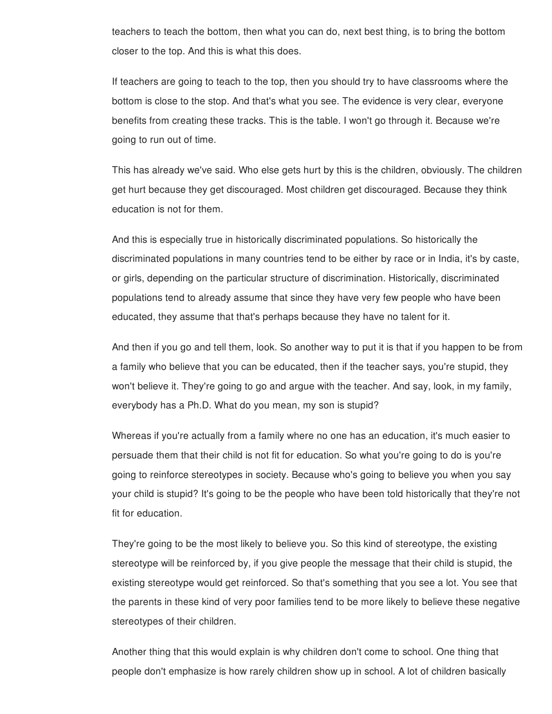teachers to teach the bottom, then what you can do, next best thing, is to bring the bottom closer to the top. And this is what this does.

If teachers are going to teach to the top, then you should try to have classrooms where the bottom is close to the stop. And that's what you see. The evidence is very clear, everyone benefits from creating these tracks. This is the table. I won't go through it. Because we're going to run out of time.

This has already we've said. Who else gets hurt by this is the children, obviously. The children get hurt because they get discouraged. Most children get discouraged. Because they think education is not for them.

And this is especially true in historically discriminated populations. So historically the discriminated populations in many countries tend to be either by race or in India, it's by caste, or girls, depending on the particular structure of discrimination. Historically, discriminated populations tend to already assume that since they have very few people who have been educated, they assume that that's perhaps because they have no talent for it.

And then if you go and tell them, look. So another way to put it is that if you happen to be from a family who believe that you can be educated, then if the teacher says, you're stupid, they won't believe it. They're going to go and argue with the teacher. And say, look, in my family, everybody has a Ph.D. What do you mean, my son is stupid?

Whereas if you're actually from a family where no one has an education, it's much easier to persuade them that their child is not fit for education. So what you're going to do is you're going to reinforce stereotypes in society. Because who's going to believe you when you say your child is stupid? It's going to be the people who have been told historically that they're not fit for education.

They're going to be the most likely to believe you. So this kind of stereotype, the existing stereotype will be reinforced by, if you give people the message that their child is stupid, the existing stereotype would get reinforced. So that's something that you see a lot. You see that the parents in these kind of very poor families tend to be more likely to believe these negative stereotypes of their children.

Another thing that this would explain is why children don't come to school. One thing that people don't emphasize is how rarely children show up in school. A lot of children basically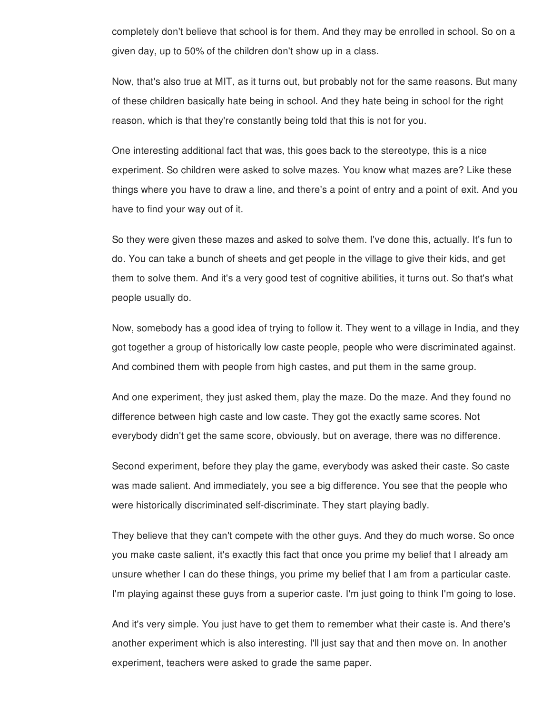completely don't believe that school is for them. And they may be enrolled in school. So on a given day, up to 50% of the children don't show up in a class.

Now, that's also true at MIT, as it turns out, but probably not for the same reasons. But many of these children basically hate being in school. And they hate being in school for the right reason, which is that they're constantly being told that this is not for you.

One interesting additional fact that was, this goes back to the stereotype, this is a nice experiment. So children were asked to solve mazes. You know what mazes are? Like these things where you have to draw a line, and there's a point of entry and a point of exit. And you have to find your way out of it.

So they were given these mazes and asked to solve them. I've done this, actually. It's fun to do. You can take a bunch of sheets and get people in the village to give their kids, and get them to solve them. And it's a very good test of cognitive abilities, it turns out. So that's what people usually do.

Now, somebody has a good idea of trying to follow it. They went to a village in India, and they got together a group of historically low caste people, people who were discriminated against. And combined them with people from high castes, and put them in the same group.

And one experiment, they just asked them, play the maze. Do the maze. And they found no difference between high caste and low caste. They got the exactly same scores. Not everybody didn't get the same score, obviously, but on average, there was no difference.

Second experiment, before they play the game, everybody was asked their caste. So caste was made salient. And immediately, you see a big difference. You see that the people who were historically discriminated self-discriminate. They start playing badly.

They believe that they can't compete with the other guys. And they do much worse. So once you make caste salient, it's exactly this fact that once you prime my belief that I already am unsure whether I can do these things, you prime my belief that I am from a particular caste. I'm playing against these guys from a superior caste. I'm just going to think I'm going to lose.

And it's very simple. You just have to get them to remember what their caste is. And there's another experiment which is also interesting. I'll just say that and then move on. In another experiment, teachers were asked to grade the same paper.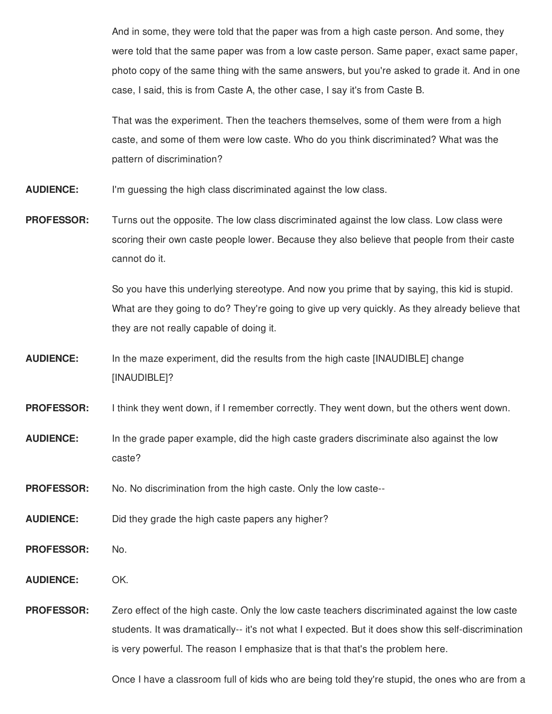And in some, they were told that the paper was from a high caste person. And some, they were told that the same paper was from a low caste person. Same paper, exact same paper, photo copy of the same thing with the same answers, but you're asked to grade it. And in one case, I said, this is from Caste A, the other case, I say it's from Caste B.

That was the experiment. Then the teachers themselves, some of them were from a high caste, and some of them were low caste. Who do you think discriminated? What was the pattern of discrimination?

**AUDIENCE:** I'm guessing the high class discriminated against the low class.

**PROFESSOR:** Turns out the opposite. The low class discriminated against the low class. Low class were scoring their own caste people lower. Because they also believe that people from their caste cannot do it.

> So you have this underlying stereotype. And now you prime that by saying, this kid is stupid. What are they going to do? They're going to give up very quickly. As they already believe that they are not really capable of doing it.

**AUDIENCE:** In the maze experiment, did the results from the high caste [INAUDIBLE] change [INAUDIBLE]?

**PROFESSOR:** I think they went down, if I remember correctly. They went down, but the others went down.

**AUDIENCE:** In the grade paper example, did the high caste graders discriminate also against the low caste?

**PROFESSOR:** No. No discrimination from the high caste. Only the low caste--

**AUDIENCE:** Did they grade the high caste papers any higher?

**PROFESSOR:** No.

**AUDIENCE:** OK.

**PROFESSOR:** Zero effect of the high caste. Only the low caste teachers discriminated against the low caste students. It was dramatically-- it's not what I expected. But it does show this self-discrimination is very powerful. The reason I emphasize that is that that's the problem here.

Once I have a classroom full of kids who are being told they're stupid, the ones who are from a